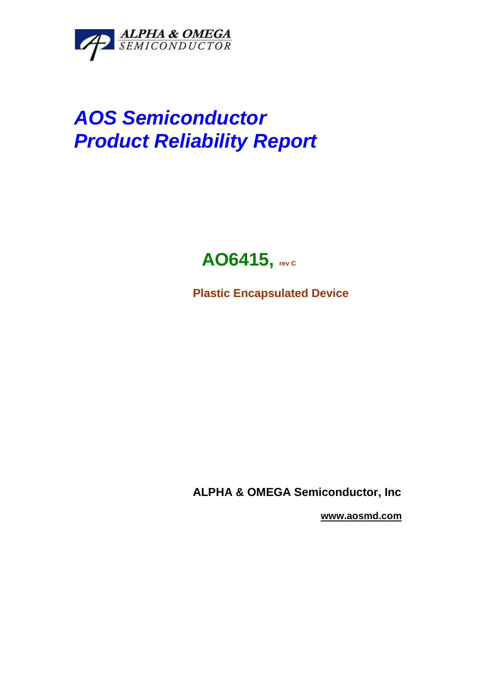

# *AOS Semiconductor Product Reliability Report*

# AO6415, **rev C**

**Plastic Encapsulated Device**

**ALPHA & OMEGA Semiconductor, Inc**

 **www.aosmd.com**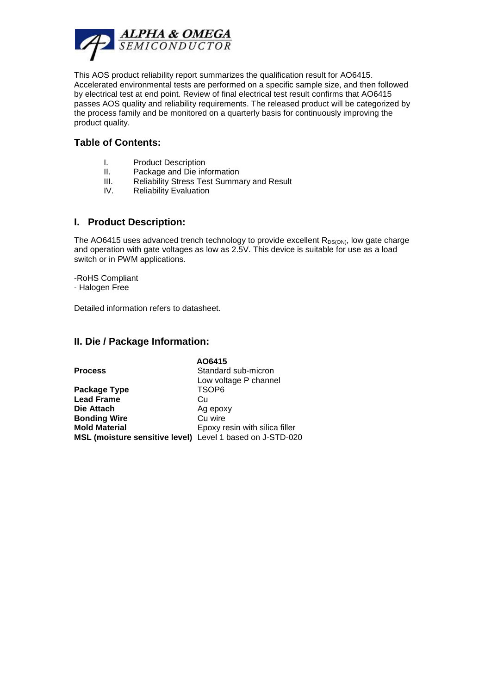

This AOS product reliability report summarizes the qualification result for AO6415. Accelerated environmental tests are performed on a specific sample size, and then followed by electrical test at end point. Review of final electrical test result confirms that AO6415 passes AOS quality and reliability requirements. The released product will be categorized by the process family and be monitored on a quarterly basis for continuously improving the product quality.

## **Table of Contents:**

- I. Product Description<br>II. Package and Die inf
- Package and Die information
- III. Reliability Stress Test Summary and Result
- IV. Reliability Evaluation

#### **I. Product Description:**

The AO6415 uses advanced trench technology to provide excellent  $R_{DS(ON)}$ , low gate charge and operation with gate voltages as low as 2.5V. This device is suitable for use as a load switch or in PWM applications.

-RoHS Compliant

- Halogen Free

Detailed information refers to datasheet.

#### **II. Die / Package Information:**

|                                                           | AO6415                         |
|-----------------------------------------------------------|--------------------------------|
| <b>Process</b>                                            | Standard sub-micron            |
|                                                           | Low voltage P channel          |
| Package Type                                              | TSOP6                          |
| <b>Lead Frame</b>                                         | Cu                             |
| Die Attach                                                | Ag epoxy                       |
| <b>Bonding Wire</b>                                       | Cu wire                        |
| <b>Mold Material</b>                                      | Epoxy resin with silica filler |
| MSL (moisture sensitive level) Level 1 based on J-STD-020 |                                |